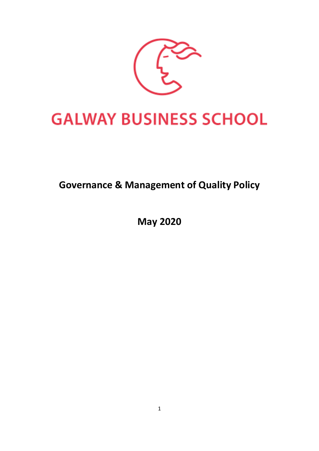

# **GALWAY BUSINESS SCHOOL**

# **Governance & Management of Quality Policy**

**May 2020**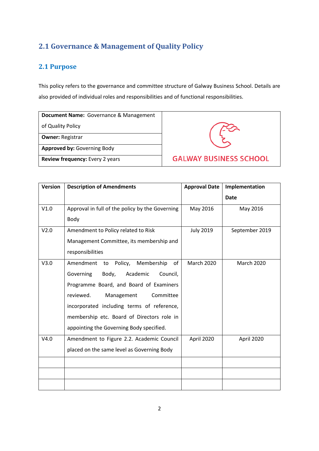# **2.1 Governance & Management of Quality Policy**

# **2.1 Purpose**

This policy refers to the governance and committee structure of Galway Business School. Details are also provided of individual roles and responsibilities and of functional responsibilities.

|                   | <b>Document Name:</b> Governance & Management |
|-------------------|-----------------------------------------------|
| of Quality Policy |                                               |

**Owner:** Registrar

**Approved by:** Governing Body

**Review frequency:** Every 2 years



| <b>Version</b> | <b>Description of Amendments</b>                | <b>Approval Date</b> | Implementation |
|----------------|-------------------------------------------------|----------------------|----------------|
|                |                                                 |                      | <b>Date</b>    |
| V1.0           | Approval in full of the policy by the Governing | May 2016             | May 2016       |
|                | Body                                            |                      |                |
| V2.0           | Amendment to Policy related to Risk             | <b>July 2019</b>     | September 2019 |
|                | Management Committee, its membership and        |                      |                |
|                | responsibilities                                |                      |                |
| V3.0           | Amendment to<br>Policy, Membership<br>of        | <b>March 2020</b>    | March 2020     |
|                | Governing<br>Body,<br>Academic<br>Council,      |                      |                |
|                | Programme Board, and Board of Examiners         |                      |                |
|                | reviewed.<br>Committee<br>Management            |                      |                |
|                | incorporated including terms of reference,      |                      |                |
|                | membership etc. Board of Directors role in      |                      |                |
|                | appointing the Governing Body specified.        |                      |                |
| V4.0           | Amendment to Figure 2.2. Academic Council       | April 2020           | April 2020     |
|                | placed on the same level as Governing Body      |                      |                |
|                |                                                 |                      |                |
|                |                                                 |                      |                |
|                |                                                 |                      |                |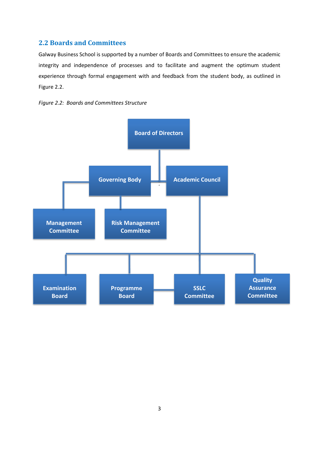# **2.2 Boards and Committees**

Galway Business School is supported by a number of Boards and Committees to ensure the academic integrity and independence of processes and to facilitate and augment the optimum student experience through formal engagement with and feedback from the student body, as outlined in Figure 2.2.



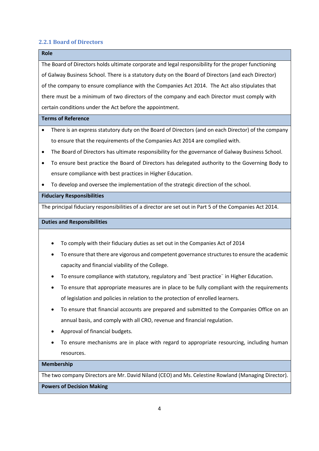#### **2.2.1 Board of Directors**

# **Role** The Board of Directors holds ultimate corporate and legal responsibility for the proper functioning of Galway Business School. There is a statutory duty on the Board of Directors (and each Director) of the company to ensure compliance with the Companies Act 2014. The Act also stipulates that there must be a minimum of two directors of the company and each Director must comply with certain conditions under the Act before the appointment. **Terms of Reference** • There is an express statutory duty on the Board of Directors (and on each Director) of the company to ensure that the requirements of the Companies Act 2014 are complied with. • The Board of Directors has ultimate responsibility for the governance of Galway Business School. • To ensure best practice the Board of Directors has delegated authority to the Governing Body to ensure compliance with best practices in Higher Education.

• To develop and oversee the implementation of the strategic direction of the school.

#### **Fiduciary Responsibilities**

The principal fiduciary responsibilities of a director are set out in Part 5 of the Companies Act 2014.

#### **Duties and Responsibilities**

- To comply with their fiduciary duties as set out in the Companies Act of 2014
- To ensure that there are vigorous and competent governance structures to ensure the academic capacity and financial viability of the College.
- To ensure compliance with statutory, regulatory and ¨best practice¨ in Higher Education.
- To ensure that appropriate measures are in place to be fully compliant with the requirements of legislation and policies in relation to the protection of enrolled learners.
- To ensure that financial accounts are prepared and submitted to the Companies Office on an annual basis, and comply with all CRO, revenue and financial regulation.
- Approval of financial budgets.
- To ensure mechanisms are in place with regard to appropriate resourcing, including human resources.

#### **Membership**

The two company Directors are Mr. David Niland (CEO) and Ms. Celestine Rowland (Managing Director). **Powers of Decision Making**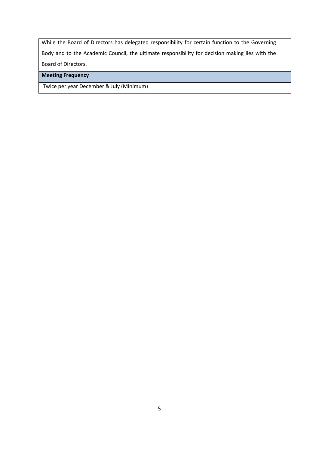While the Board of Directors has delegated responsibility for certain function to the Governing Body and to the Academic Council, the ultimate responsibility for decision making lies with the Board of Directors.

**Meeting Frequency**

Twice per year December & July (Minimum)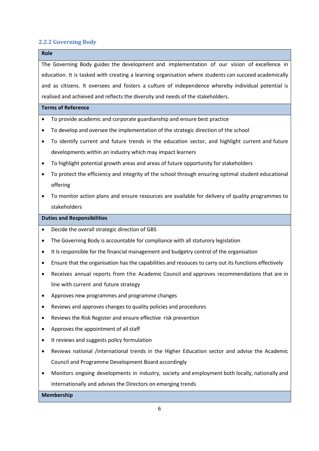#### **2.2.2 Governing Body**

# **Role** The Governing Body guides the development and implementation of our vision of excellence in education. It is tasked with creating a learning organisation where students can succeed academically and as citizens. It oversees and fosters a culture of independence whereby individual potential is realised and achieved and reflects the diversity and needs of the stakeholders. **Terms of Reference** • To provide academic and corporate guardianship and ensure best practice • To develop and oversee the implementation of the strategic direction of the school • To identify current and future trends in the education sector, and highlight current and future developments within an industry which may impact learners • To highlight potential growth areas and areas of future opportunity for stakeholders • To protect the efficiency and integrity of the school through ensuring optimal student educational offering • To monitor action plans and ensure resources are available for delivery of quality programmes to stakeholders **Duties and Responsibilities** • Decide the overall strategic direction of GBS • The Governing Body is accountable for compliance with all staturory legislation • It Is responsible for the financial management and budgetry control of the organisation • Ensure that the organisation has the capabilities and resouces to carry out its functions effectively • Receives annual reports from the Academic Council and approves recommendations that are in line with current and future strategy • Approves new programmes and programme changes • Reviews and approves changes to quality policies and procedures • Reviews the Risk Register and ensure effective risk prevention • Approves the appointment of all staff • It reviews and suggests policy formulation • Reviews national /international trends in the Higher Education sector and advise the Academic Council and Programme Development Board accordingly • Monitors ongoing developments in industry, society and employment both locally, nationally and internationally and advises the Directors on emerging trends **Membership**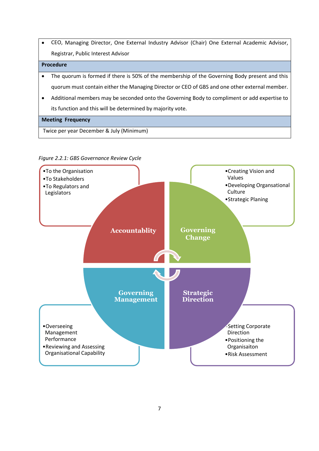• CEO, Managing Director, One External Industry Advisor (Chair) One External Academic Advisor, Registrar, Public Interest Advisor

#### **Procedure**

- The quorum is formed if there is 50% of the membership of the Governing Body present and this quorum must contain either the Managing Director or CEO of GBS and one other external member.
- Additional members may be seconded onto the Governing Body to compliment or add expertise to its function and this will be determined by majority vote.

#### **Meeting Frequency**

Twice per year December & July (Minimum)



#### *Figure 2.2.1: GBS Governance Review Cycle*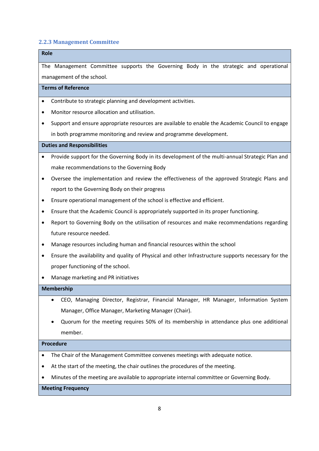### **2.2.3 Management Committee**

# **Role** The Management Committee supports the Governing Body in the strategic and operational management of the school. **Terms of Reference** • Contribute to strategic planning and development activities.

- Monitor resource allocation and utilisation.
- Support and ensure appropriate resources are available to enable the Academic Council to engage in both programme monitoring and review and programme development.

#### **Duties and Responsibilities**

- Provide support for the Governing Body in its development of the multi-annual Strategic Plan and make recommendations to the Governing Body
- Oversee the implementation and review the effectiveness of the approved Strategic Plans and report to the Governing Body on their progress
- Ensure operational management of the school is effective and efficient.
- Ensure that the Academic Council is appropriately supported in its proper functioning.
- Report to Governing Body on the utilisation of resources and make recommendations regarding future resource needed.
- Manage resources including human and financial resources within the school
- Ensure the availability and quality of Physical and other Infrastructure supports necessary for the proper functioning of the school.
- Manage marketing and PR initiatives

#### **Membership**

- CEO, Managing Director, Registrar, Financial Manager, HR Manager, Information System Manager, Office Manager, Marketing Manager (Chair).
- Quorum for the meeting requires 50% of its membership in attendance plus one additional member.

#### **Procedure**

- The Chair of the Management Committee convenes meetings with adequate notice.
- At the start of the meeting, the chair outlines the procedures of the meeting.
- Minutes of the meeting are available to appropriate internal committee or Governing Body.

#### **Meeting Frequency**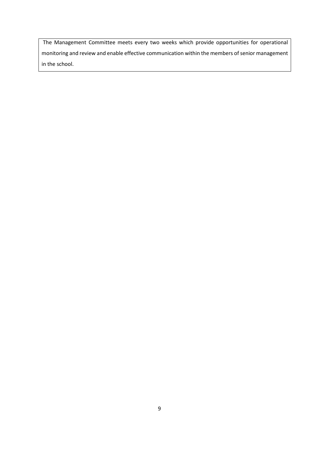The Management Committee meets every two weeks which provide opportunities for operational monitoring and review and enable effective communication within the members of senior management in the school.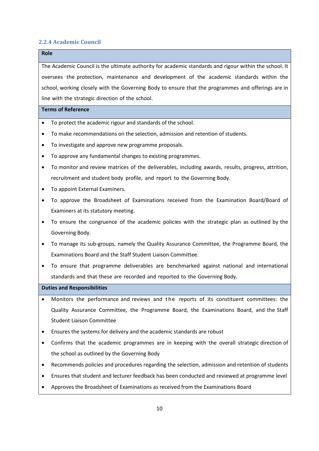#### **2.2.4 Academic Council**

## **Role**

The Academic Council is the ultimate authority for academic standards and rigour within the school. It oversees the protection, maintenance and development of the academic standards within the school, working closely with the Governing Body to ensure that the programmes and offerings are in line with the strategic direction of the school.

#### **Terms of Reference**

- To protect the academic rigour and standards of the school.
- To make recommendations on the selection, admission and retention of students.
- To investigate and approve new programme proposals.
- To approve any fundamental changes to existing programmes.
- To monitor and review matrices of the deliverables, including awards, results, progress, attrition, recruitment and student body profile, and report to the Governing Body.
- To appoint External Examiners.
- To approve the Broadsheet of Examinations received from the Examination Board/Board of Examiners at its statutory meeting.
- To ensure the congruence of the academic policies with the strategic plan as outlined by the Governing Body.
- To manage its sub-groups, namely the Quality Assurance Committee, the Programme Board, the Examinations Board and the Staff Student Liaison Committee.
- To ensure that programme deliverables are benchmarked against national and international standards and that these are recorded and reported to the Governing Body.

- Monitors the performance and reviews and the reports of its constituent committees: the Quality Assurance Committee, the Programme Board, the Examinations Board, and the Staff Student Liaison Committee
- Ensures the systems for delivery and the academic standards are robust
- Confirms that the academic programmes are in keeping with the overall strategic direction of the school as outlined by the Governing Body
- Recommends policies and procedures regarding the selection, admission and retention of students
- Ensures that student and lecturer feedback has been conducted and reviewed at programme level
- Approves the Broadsheet of Examinations as received from the Examinations Board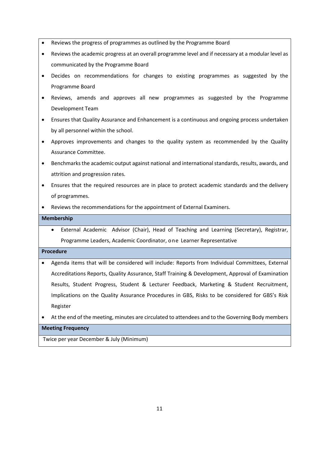- Reviews the progress of programmes as outlined by the Programme Board
- Reviews the academic progress at an overall programme level and if necessary at a modular level as communicated by the Programme Board
- Decides on recommendations for changes to existing programmes as suggested by the Programme Board
- Reviews, amends and approves all new programmes as suggested by the Programme Development Team
- Ensures that Quality Assurance and Enhancement is a continuous and ongoing process undertaken by all personnel within the school.
- Approves improvements and changes to the quality system as recommended by the Quality Assurance Committee.
- Benchmarks the academic output against national and international standards, results, awards, and attrition and progression rates.
- Ensures that the required resources are in place to protect academic standards and the delivery of programmes.
- Reviews the recommendations for the appointment of External Examiners.

#### **Membership**

• External Academic Advisor (Chair), Head of Teaching and Learning (Secretary), Registrar, Programme Leaders, Academic Coordinator, one Learner Representative

#### **Procedure**

- Agenda items that will be considered will include: Reports from Individual Committees, External Accreditations Reports, Quality Assurance, Staff Training & Development, Approval of Examination Results, Student Progress, Student & Lecturer Feedback, Marketing & Student Recruitment, Implications on the Quality Assurance Procedures in GBS, Risks to be considered for GBS's Risk Register
- At the end of the meeting, minutes are circulated to attendees and to the Governing Body members

### **Meeting Frequency**

Twice per year December & July (Minimum)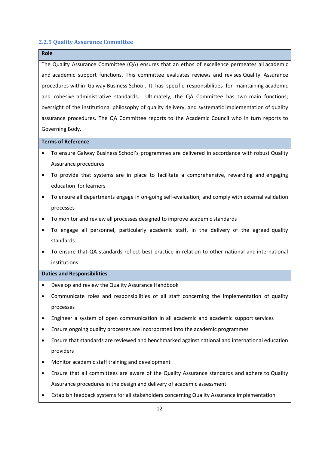#### **2.2.5 Quality Assurance Committee**

#### **Role**

The Quality Assurance Committee (QA) ensures that an ethos of excellence permeates all academic and academic support functions. This committee evaluates reviews and revises Quality Assurance procedures within Galway Business School. It has specific responsibilities for maintaining academic and cohesive administrative standards. Ultimately, the QA Committee has two main functions; oversight of the institutional philosophy of quality delivery, and systematic implementation of quality assurance procedures. The QA Committee reports to the Academic Council who in turn reports to Governing Body.

#### **Terms of Reference**

- To ensure Galway Business School's programmes are delivered in accordance with robust Quality Assurance procedures
- To provide that systems are in place to facilitate a comprehensive, rewarding and engaging education for learners
- To ensure all departments engage in on-going self-evaluation, and comply with external validation processes
- To monitor and review all processes designed to improve academic standards
- To engage all personnel, particularly academic staff, in the delivery of the agreed quality standards
- To ensure that QA standards reflect best practice in relation to other national and international institutions

- Develop and review the Quality Assurance Handbook
- Communicate roles and responsibilities of all staff concerning the implementation of quality processes
- Engineer a system of open communication in all academic and academic support services
- Ensure ongoing quality processes are incorporated into the academic programmes
- Ensure that standards are reviewed and benchmarked against national and international education providers
- Monitor academic staff training and development
- Ensure that all committees are aware of the Quality Assurance standards and adhere to Quality Assurance procedures in the design and delivery of academic assessment
- Establish feedback systems for all stakeholders concerning Quality Assurance implementation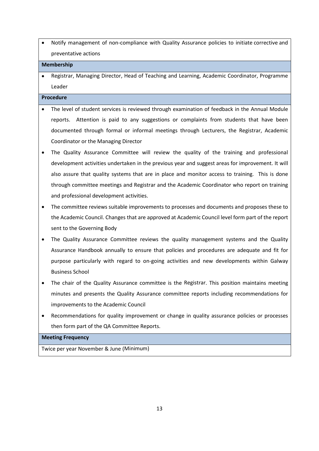• Notify management of non-compliance with Quality Assurance policies to initiate corrective and preventative actions

#### **Membership**

• Registrar, Managing Director, Head of Teaching and Learning, Academic Coordinator, Programme Leader

#### **Procedure**

- The level of student services is reviewed through examination of feedback in the Annual Module reports. Attention is paid to any suggestions or complaints from students that have been documented through formal or informal meetings through Lecturers, the Registrar, Academic Coordinator or the Managing Director
- The Quality Assurance Committee will review the quality of the training and professional development activities undertaken in the previous year and suggest areas for improvement. It will also assure that quality systems that are in place and monitor access to training. This is done through committee meetings and Registrar and the Academic Coordinator who report on training and professional development activities.
- The committee reviews suitable improvements to processes and documents and proposes these to the Academic Council. Changes that are approved at Academic Council level form part of the report sent to the Governing Body
- The Quality Assurance Committee reviews the quality management systems and the Quality Assurance Handbook annually to ensure that policies and procedures are adequate and fit for purpose particularly with regard to on-going activities and new developments within Galway Business School
- The chair of the Quality Assurance committee is the Registrar. This position maintains meeting minutes and presents the Quality Assurance committee reports including recommendations for improvements to the Academic Council
- Recommendations for quality improvement or change in quality assurance policies or processes then form part of the QA Committee Reports.

#### **Meeting Frequency**

Twice per year November & June (Minimum)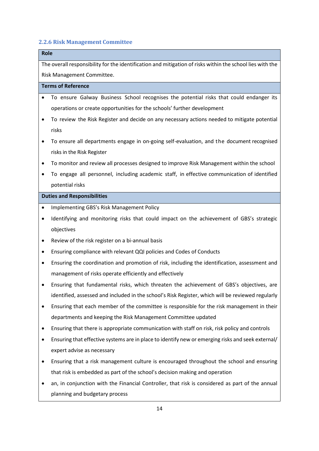### **2.2.6 Risk Management Committee**

# **Role** The overall responsibility for the identification and mitigation of risks within the school lies with the Risk Management Committee. **Terms of Reference** • To ensure Galway Business School recognises the potential risks that could endanger its operations or create opportunities for the schools' further development • To review the Risk Register and decide on any necessary actions needed to mitigate potential risks • To ensure all departments engage in on-going self-evaluation, and the document recognised risks in the Risk Register • To monitor and review all processes designed to improve Risk Management within the school • To engage all personnel, including academic staff, in effective communication of identified potential risks **Duties and Responsibilities** • Implementing GBS's Risk Management Policy • Identifying and monitoring risks that could impact on the achievement of GBS's strategic objectives • Review of the risk register on a bi-annual basis • Ensuring compliance with relevant QQI policies and Codes of Conducts • Ensuring the coordination and promotion of risk, including the identification, assessment and management of risks operate efficiently and effectively • Ensuring that fundamental risks, which threaten the achievement of GBS's objectives, are identified, assessed and included in the school's Risk Register, which will be reviewed regularly • Ensuring that each member of the committee is responsible for the risk management in their departments and keeping the Risk Management Committee updated

- Ensuring that there is appropriate communication with staff on risk, risk policy and controls
- Ensuring that effective systems are in place to identify new or emerging risks and seek external/ expert advise as necessary
- Ensuring that a risk management culture is encouraged throughout the school and ensuring that risk is embedded as part of the school's decision making and operation
- an, in conjunction with the Financial Controller, that risk is considered as part of the annual planning and budgetary process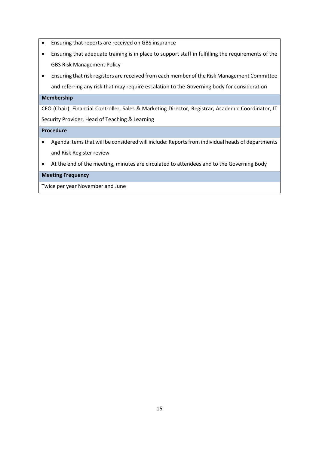- Ensuring that reports are received on GBS insurance
- Ensuring that adequate training is in place to support staff in fulfilling the requirements of the GBS Risk Management Policy
- Ensuring that risk registers are received from each member of the Risk Management Committee and referring any risk that may require escalation to the Governing body for consideration

#### **Membership**

CEO (Chair), Financial Controller, Sales & Marketing Director, Registrar, Academic Coordinator, IT Security Provider, Head of Teaching & Learning

#### **Procedure**

- Agenda items that will be considered will include: Reports from individual heads of departments and Risk Register review
- At the end of the meeting, minutes are circulated to attendees and to the Governing Body

#### **Meeting Frequency**

Twice per year November and June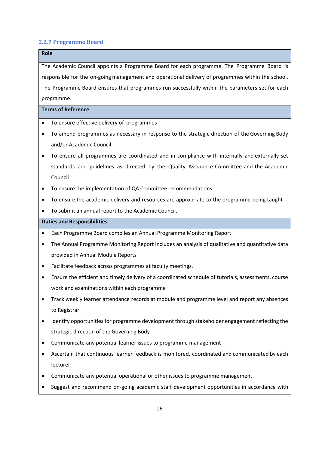#### **2.2.7 Programme Board**

# **Role** The Academic Council appoints a Programme Board for each programme. The Programme Board is responsible for the on-going management and operational delivery of programmes within the school. The Programme Board ensures that programmes run successfully within the parameters set for each programme. **Terms of Reference** To ensure effective delivery of programmes • To amend programmes as necessary in response to the strategic direction of the Governing Body and/or Academic Council • To ensure all programmes are coordinated and in compliance with internally and externally set standards and guidelines as directed by the Quality Assurance Committee and the Academic Council • To ensure the implementation of QA Committee recommendations • To ensure the academic delivery and resources are appropriate to the programme being taught • To submit an annual report to the Academic Council. **Duties and Responsibilities** • Each Programme Board compiles an Annual Programme Monitoring Report

- The Annual Programme Monitoring Report includes an analysis of qualitative and quantitative data provided in Annual Module Reports
- Facilitate feedback across programmes at faculty meetings.
- Ensure the efficient and timely delivery of a coordinated schedule of tutorials, assessments, course work and examinations within each programme
- Track weekly learner attendance records at module and programme level and report any absences to Registrar
- Identify opportunities for programme development through stakeholder engagement reflecting the strategic direction of the Governing Body
- Communicate any potential learner issues to programme management
- Ascertain that continuous learner feedback is monitored, coordinated and communicated by each lecturer
- Communicate any potential operational or other issues to programme management
- Suggest and recommend on-going academic staff development opportunities in accordance with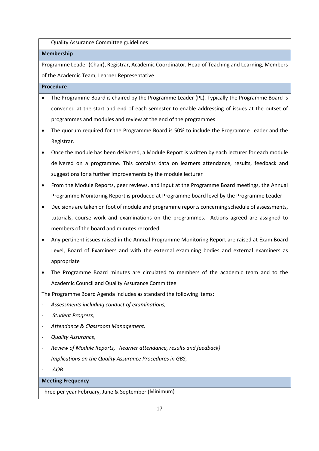Quality Assurance Committee guidelines

#### **Membership**

Programme Leader (Chair), Registrar, Academic Coordinator, Head of Teaching and Learning, Members of the Academic Team, Learner Representative

#### **Procedure**

- The Programme Board is chaired by the Programme Leader (PL). Typically the Programme Board is convened at the start and end of each semester to enable addressing of issues at the outset of programmes and modules and review at the end of the programmes
- The quorum required for the Programme Board is 50% to include the Programme Leader and the Registrar.
- Once the module has been delivered, a Module Report is written by each lecturer for each module delivered on a programme. This contains data on learners attendance, results, feedback and suggestions for a further improvements by the module lecturer
- From the Module Reports, peer reviews, and input at the Programme Board meetings, the Annual Programme Monitoring Report is produced at Programme board level by the Programme Leader
- Decisions are taken on foot of module and programme reports concerning schedule of assessments, tutorials, course work and examinations on the programmes. Actions agreed are assigned to members of the board and minutes recorded
- Any pertinent issues raised in the Annual Programme Monitoring Report are raised at Exam Board Level, Board of Examiners and with the external examining bodies and external examiners as appropriate
- The Programme Board minutes are circulated to members of the academic team and to the Academic Council and Quality Assurance Committee

The Programme Board Agenda includes as standard the following items:

- *Assessments including conduct of examinations,*
- *Student Progress,*
- *Attendance & Classroom Management,*
- *Quality Assurance,*
- *Review of Module Reports, (learner attendance, results and feedback)*
- *Implications on the Quality Assurance Procedures in GBS,*
- *AOB*

### **Meeting Frequency**

Three per year February, June & September (Minimum)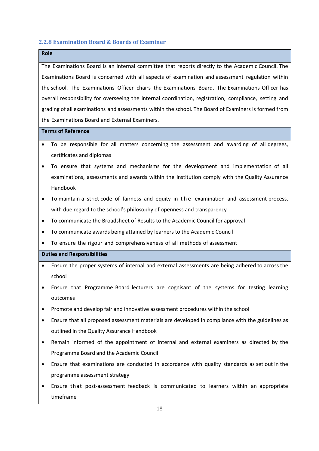#### **2.2.8 Examination Board & Boards of Examiner**

# **Role**

The Examinations Board is an internal committee that reports directly to the Academic Council. The Examinations Board is concerned with all aspects of examination and assessment regulation within the school. The Examinations Officer chairs the Examinations Board. The Examinations Officer has overall responsibility for overseeing the internal coordination, registration, compliance, setting and grading of all examinations and assessments within the school. The Board of Examiners is formed from the Examinations Board and External Examiners.

#### **Terms of Reference**

- To be responsible for all matters concerning the assessment and awarding of all degrees, certificates and diplomas
- To ensure that systems and mechanisms for the development and implementation of all examinations, assessments and awards within the institution comply with the Quality Assurance Handbook
- To maintain a strict code of fairness and equity in t h e examination and assessment process, with due regard to the school's philosophy of openness and transparency
- To communicate the Broadsheet of Results to the Academic Council for approval
- To communicate awards being attained by learners to the Academic Council
- To ensure the rigour and comprehensiveness of all methods of assessment

- Ensure the proper systems of internal and external assessments are being adhered to across the school
- Ensure that Programme Board lecturers are cognisant of the systems for testing learning outcomes
- Promote and develop fair and innovative assessment procedures within the school
- Ensure that all proposed assessment materials are developed in compliance with the guidelines as outlined in the Quality Assurance Handbook
- Remain informed of the appointment of internal and external examiners as directed by the Programme Board and the Academic Council
- Ensure that examinations are conducted in accordance with quality standards as set out in the programme assessment strategy
- Ensure that post-assessment feedback is communicated to learners within an appropriate timeframe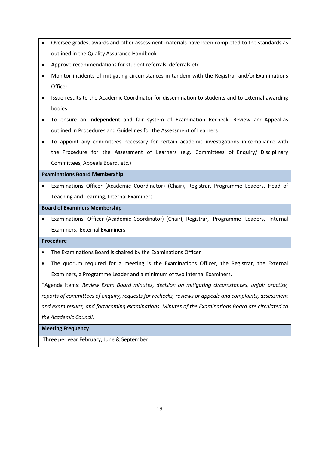- Oversee grades, awards and other assessment materials have been completed to the standards as outlined in the Quality Assurance Handbook
- Approve recommendations for student referrals, deferrals etc.
- Monitor incidents of mitigating circumstances in tandem with the Registrar and/or Examinations **Officer**
- Issue results to the Academic Coordinator for dissemination to students and to external awarding bodies
- To ensure an independent and fair system of Examination Recheck, Review and Appeal as outlined in Procedures and Guidelines for the Assessment of Learners
- To appoint any committees necessary for certain academic investigations in compliance with the Procedure for the Assessment of Learners (e.g. Committees of Enquiry/ Disciplinary Committees, Appeals Board, etc.)

#### **Examinations Board Membership**

• Examinations Officer (Academic Coordinator) (Chair), Registrar, Programme Leaders, Head of Teaching and Learning, Internal Examiners

#### **Board of Examiners Membership**

• Examinations Officer (Academic Coordinator) (Chair), Registrar, Programme Leaders, Internal Examiners, External Examiners

#### **Procedure**

- The Examinations Board is chaired by the Examinations Officer
- The quorum required for a meeting is the Examinations Officer, the Registrar, the External Examiners, a Programme Leader and a minimum of two Internal Examiners.

\*Agenda items: *Review Exam Board minutes, decision on mitigating circumstances, unfair practise, reports of committees of enquiry, requests for rechecks, reviews or appeals and complaints, assessment and exam results, and forthcoming examinations. Minutes of the Examinations Board are circulated to the Academic Council.*

#### **Meeting Frequency**

Three per year February, June & September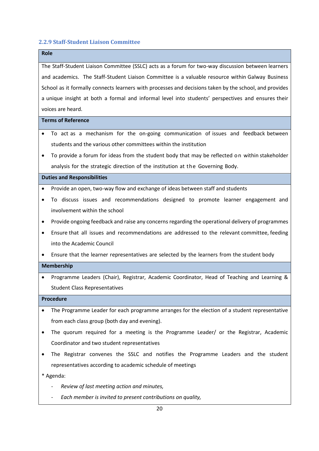### **2.2.9 Staff-Student Liaison Committee**

| <b>Role</b> |                                                                                                        |  |  |
|-------------|--------------------------------------------------------------------------------------------------------|--|--|
|             | The Staff-Student Liaison Committee (SSLC) acts as a forum for two-way discussion between learners     |  |  |
|             | and academics. The Staff-Student Liaison Committee is a valuable resource within Galway Business       |  |  |
|             | School as it formally connects learners with processes and decisions taken by the school, and provides |  |  |
|             | a unique insight at both a formal and informal level into students' perspectives and ensures their     |  |  |
|             | voices are heard.                                                                                      |  |  |
|             | <b>Terms of Reference</b>                                                                              |  |  |
|             | To act as a mechanism for the on-going communication of issues and feedback between                    |  |  |
|             | students and the various other committees within the institution                                       |  |  |
|             | To provide a forum for ideas from the student body that may be reflected on within stakeholder         |  |  |
|             | analysis for the strategic direction of the institution at the Governing Body.                         |  |  |
|             | <b>Duties and Responsibilities</b>                                                                     |  |  |
|             | Provide an open, two-way flow and exchange of ideas between staff and students                         |  |  |
| $\bullet$   | To discuss issues and recommendations designed to promote learner engagement and                       |  |  |
|             | involvement within the school                                                                          |  |  |
| $\bullet$   | Provide ongoing feedback and raise any concerns regarding the operational delivery of programmes       |  |  |
| ٠           | Ensure that all issues and recommendations are addressed to the relevant committee, feeding            |  |  |
|             | into the Academic Council                                                                              |  |  |
|             | Ensure that the learner representatives are selected by the learners from the student body             |  |  |
|             | Membership                                                                                             |  |  |
|             | Programme Leaders (Chair), Registrar, Academic Coordinator, Head of Teaching and Learning &            |  |  |
|             | <b>Student Class Representatives</b>                                                                   |  |  |
|             | <b>Procedure</b>                                                                                       |  |  |
|             | The Programme Leader for each programme arranges for the election of a student representative          |  |  |
|             | from each class group (both day and evening).                                                          |  |  |
|             | The quorum required for a meeting is the Programme Leader/ or the Registrar, Academic                  |  |  |
|             | Coordinator and two student representatives                                                            |  |  |
|             | The Registrar convenes the SSLC and notifies the Programme Leaders and the student                     |  |  |
|             | representatives according to academic schedule of meetings                                             |  |  |
| * Agenda:   |                                                                                                        |  |  |
|             | Review of last meeting action and minutes,                                                             |  |  |

- *Each member is invited to present contributions on quality,*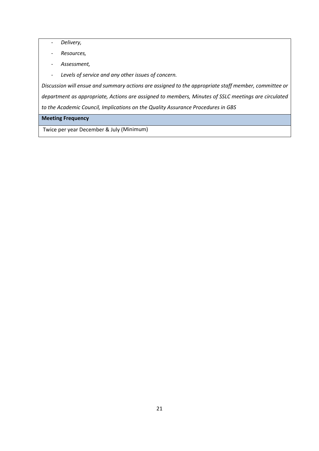- *Delivery,*
- *Resources,*
- *Assessment,*
- *Levels of service and any other issues of concern.*

*Discussion will ensue and summary actions are assigned to the appropriate staff member, committee or department as appropriate, Actions are assigned to members, Minutes of SSLC meetings are circulated to the Academic Council, Implications on the Quality Assurance Procedures in GBS*

#### **Meeting Frequency**

Twice per year December & July (Minimum)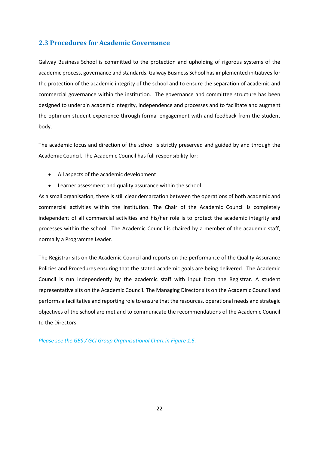### **2.3 Procedures for Academic Governance**

Galway Business School is committed to the protection and upholding of rigorous systems of the academic process, governance and standards. Galway Business School has implemented initiatives for the protection of the academic integrity of the school and to ensure the separation of academic and commercial governance within the institution. The governance and committee structure has been designed to underpin academic integrity, independence and processes and to facilitate and augment the optimum student experience through formal engagement with and feedback from the student body.

The academic focus and direction of the school is strictly preserved and guided by and through the Academic Council. The Academic Council has full responsibility for:

- All aspects of the academic development
- Learner assessment and quality assurance within the school.

As a small organisation, there is still clear demarcation between the operations of both academic and commercial activities within the institution. The Chair of the Academic Council is completely independent of all commercial activities and his/her role is to protect the academic integrity and processes within the school. The Academic Council is chaired by a member of the academic staff, normally a Programme Leader.

The Registrar sits on the Academic Council and reports on the performance of the Quality Assurance Policies and Procedures ensuring that the stated academic goals are being delivered. The Academic Council is run independently by the academic staff with input from the Registrar. A student representative sits on the Academic Council. The Managing Director sits on the Academic Council and performs a facilitative and reporting role to ensure that the resources, operational needs and strategic objectives of the school are met and to communicate the recommendations of the Academic Council to the Directors.

*Please see the GBS / GCI Group Organisational Chart in Figure 1.5.*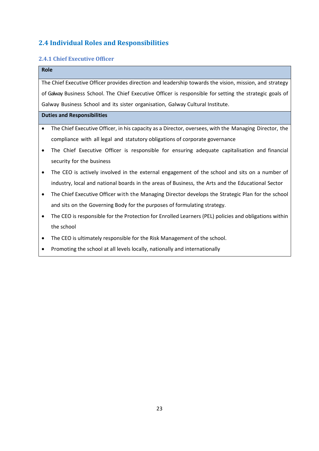# **2.4 Individual Roles and Responsibilities**

# **2.4.1 Chief Executive Officer**

|                                                                                                         | <b>Role</b>                                                                                              |  |  |  |
|---------------------------------------------------------------------------------------------------------|----------------------------------------------------------------------------------------------------------|--|--|--|
| The Chief Executive Officer provides direction and leadership towards the vision, mission, and strategy |                                                                                                          |  |  |  |
|                                                                                                         | of Galway Business School. The Chief Executive Officer is responsible for setting the strategic goals of |  |  |  |
|                                                                                                         | Galway Business School and its sister organisation, Galway Cultural Institute.                           |  |  |  |
| <b>Duties and Responsibilities</b>                                                                      |                                                                                                          |  |  |  |
| $\bullet$                                                                                               | The Chief Executive Officer, in his capacity as a Director, oversees, with the Managing Director, the    |  |  |  |
|                                                                                                         | compliance with all legal and statutory obligations of corporate governance                              |  |  |  |
| $\bullet$                                                                                               | The Chief Executive Officer is responsible for ensuring adequate capitalisation and financial            |  |  |  |
|                                                                                                         | security for the business                                                                                |  |  |  |
| $\bullet$                                                                                               | The CEO is actively involved in the external engagement of the school and sits on a number of            |  |  |  |
|                                                                                                         | industry, local and national boards in the areas of Business, the Arts and the Educational Sector        |  |  |  |
| $\bullet$                                                                                               | The Chief Executive Officer with the Managing Director develops the Strategic Plan for the school        |  |  |  |
|                                                                                                         | and sits on the Governing Body for the purposes of formulating strategy.                                 |  |  |  |
| $\bullet$                                                                                               | The CEO is responsible for the Protection for Enrolled Learners (PEL) policies and obligations within    |  |  |  |
|                                                                                                         | the school                                                                                               |  |  |  |
| $\bullet$                                                                                               | The CEO is ultimately responsible for the Risk Management of the school.                                 |  |  |  |
| $\bullet$                                                                                               | Promoting the school at all levels locally, nationally and internationally                               |  |  |  |
|                                                                                                         |                                                                                                          |  |  |  |

l.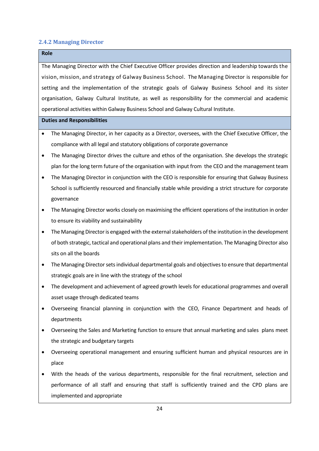#### **2.4.2 Managing Director**

# **Role**

The Managing Director with the Chief Executive Officer provides direction and leadership towards the vision, mission, and strategy of Galway Business School. The Managing Director is responsible for setting and the implementation of the strategic goals of Galway Business School and its sister organisation, Galway Cultural Institute, as well as responsibility for the commercial and academic operational activities within Galway Business School and Galway Cultural Institute.

- The Managing Director, in her capacity as a Director, oversees, with the Chief Executive Officer, the compliance with all legal and statutory obligations of corporate governance
- The Managing Director drives the culture and ethos of the organisation. She develops the strategic plan for the long term future of the organisation with input from the CEO and the management team
- The Managing Director in conjunction with the CEO is responsible for ensuring that Galway Business School is sufficiently resourced and financially stable while providing a strict structure for corporate governance
- The Managing Director works closely on maximising the efficient operations of the institution in order to ensure its viability and sustainability
- The Managing Director is engaged with the external stakeholders of the institution in the development of both strategic, tactical and operational plans and their implementation. The Managing Director also sits on all the boards
- The Managing Director sets individual departmental goals and objectives to ensure that departmental strategic goals are in line with the strategy of the school
- The development and achievement of agreed growth levels for educational programmes and overall asset usage through dedicated teams
- Overseeing financial planning in conjunction with the CEO, Finance Department and heads of departments
- Overseeing the Sales and Marketing function to ensure that annual marketing and sales plans meet the strategic and budgetary targets
- Overseeing operational management and ensuring sufficient human and physical resources are in place
- With the heads of the various departments, responsible for the final recruitment, selection and performance of all staff and ensuring that staff is sufficiently trained and the CPD plans are implemented and appropriate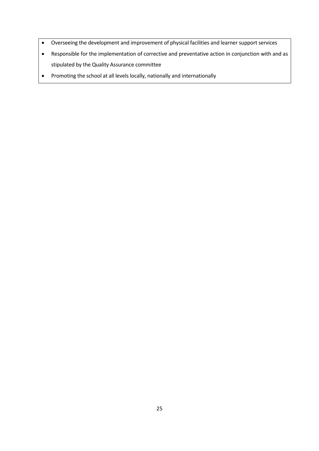- Overseeing the development and improvement of physical facilities and learner support services
- Responsible for the implementation of corrective and preventative action in conjunction with and as stipulated by the Quality Assurance committee
- Promoting the school at all levels locally, nationally and internationally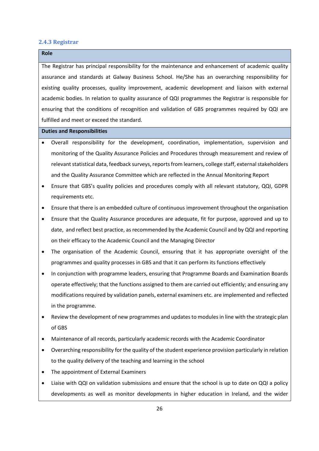#### **2.4.3 Registrar**

**Role**

The Registrar has principal responsibility for the maintenance and enhancement of academic quality assurance and standards at Galway Business School. He/She has an overarching responsibility for existing quality processes, quality improvement, academic development and liaison with external academic bodies. In relation to quality assurance of QQI programmes the Registrar is responsible for ensuring that the conditions of recognition and validation of GBS programmes required by QQI are fulfilled and meet or exceed the standard.

- Overall responsibility for the development, coordination, implementation, supervision and monitoring of the Quality Assurance Policies and Procedures through measurement and review of relevant statistical data, feedback surveys, reports from learners, college staff, external stakeholders and the Quality Assurance Committee which are reflected in the Annual Monitoring Report
- Ensure that GBS's quality policies and procedures comply with all relevant statutory, QQI, GDPR requirements etc.
- Ensure that there is an embedded culture of continuous improvement throughout the organisation
- Ensure that the Quality Assurance procedures are adequate, fit for purpose, approved and up to date, and reflect best practice, as recommended by the Academic Council and by QQI and reporting on their efficacy to the Academic Council and the Managing Director
- The organisation of the Academic Council, ensuring that it has appropriate oversight of the programmes and quality processes in GBS and that it can perform its functions effectively
- In conjunction with programme leaders, ensuring that Programme Boards and Examination Boards operate effectively; that the functions assigned to them are carried out efficiently; and ensuring any modifications required by validation panels, external examiners etc. are implemented and reflected in the programme.
- Review the development of new programmes and updates to modules in line with the strategic plan of GBS
- Maintenance of all records, particularly academic records with the Academic Coordinator
- Overarching responsibility for the quality of the student experience provision particularly in relation to the quality delivery of the teaching and learning in the school
- The appointment of External Examiners
- Liaise with QQI on validation submissions and ensure that the school is up to date on QQI a policy developments as well as monitor developments in higher education in Ireland, and the wider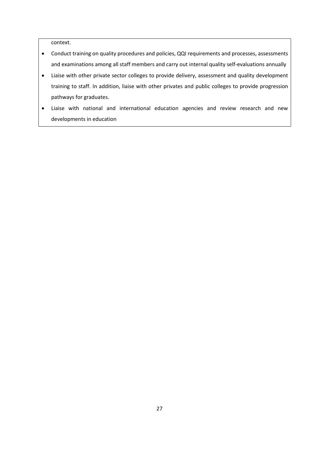context.

- Conduct training on quality procedures and policies, QQI requirements and processes, assessments and examinations among all staff members and carry out internal quality self-evaluations annually
- Liaise with other private sector colleges to provide delivery, assessment and quality development training to staff. In addition, liaise with other privates and public colleges to provide progression pathways for graduates.
- Liaise with national and international education agencies and review research and new developments in education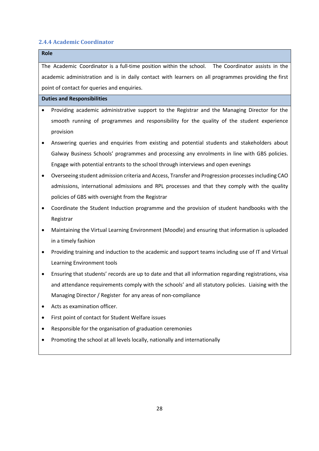#### **2.4.4 Academic Coordinator**

# **Role**

The Academic Coordinator is a full-time position within the school. The Coordinator assists in the academic administration and is in daily contact with learners on all programmes providing the first point of contact for queries and enquiries.

- Providing academic administrative support to the Registrar and the Managing Director for the smooth running of programmes and responsibility for the quality of the student experience provision
- Answering queries and enquiries from existing and potential students and stakeholders about Galway Business Schools' programmes and processing any enrolments in line with GBS policies. Engage with potential entrants to the school through interviews and open evenings
- Overseeing student admission criteria and Access, Transfer and Progression processes including CAO admissions, international admissions and RPL processes and that they comply with the quality policies of GBS with oversight from the Registrar
- Coordinate the Student Induction programme and the provision of student handbooks with the Registrar
- Maintaining the Virtual Learning Environment (Moodle) and ensuring that information is uploaded in a timely fashion
- Providing training and induction to the academic and support teams including use of IT and Virtual Learning Environment tools
- Ensuring that students' records are up to date and that all information regarding registrations, visa and attendance requirements comply with the schools' and all statutory policies. Liaising with the Managing Director / Register for any areas of non-compliance
- Acts as examination officer.
- First point of contact for Student Welfare issues
- Responsible for the organisation of graduation ceremonies
- Promoting the school at all levels locally, nationally and internationally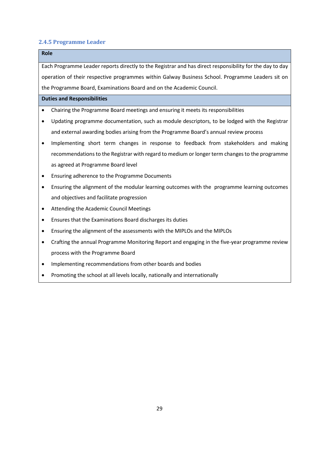#### **2.4.5 Programme Leader**

# **Role**

Each Programme Leader reports directly to the Registrar and has direct responsibility for the day to day operation of their respective programmes within Galway Business School. Programme Leaders sit on the Programme Board, Examinations Board and on the Academic Council.

- Chairing the Programme Board meetings and ensuring it meets its responsibilities
- Updating programme documentation, such as module descriptors, to be lodged with the Registrar and external awarding bodies arising from the Programme Board's annual review process
- Implementing short term changes in response to feedback from stakeholders and making recommendations to the Registrar with regard to medium or longer term changes to the programme as agreed at Programme Board level
- Ensuring adherence to the Programme Documents
- Ensuring the alignment of the modular learning outcomes with the programme learning outcomes and objectives and facilitate progression
- Attending the Academic Council Meetings
- Ensures that the Examinations Board discharges its duties
- Ensuring the alignment of the assessments with the MIPLOs and the MIPLOs
- Crafting the annual Programme Monitoring Report and engaging in the five-year programme review process with the Programme Board
- Implementing recommendations from other boards and bodies
- Promoting the school at all levels locally, nationally and internationally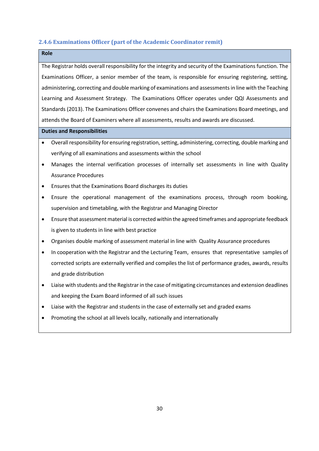#### **2.4.6 Examinations Officer (part of the Academic Coordinator remit)**

| <b>Role</b>                                                                                                           |  |  |  |
|-----------------------------------------------------------------------------------------------------------------------|--|--|--|
| The Registrar holds overall responsibility for the integrity and security of the Examinations function. The           |  |  |  |
| Examinations Officer, a senior member of the team, is responsible for ensuring registering, setting,                  |  |  |  |
| administering, correcting and double marking of examinations and assessments in line with the Teaching                |  |  |  |
| Learning and Assessment Strategy. The Examinations Officer operates under QQI Assessments and                         |  |  |  |
| Standards (2013). The Examinations Officer convenes and chairs the Examinations Board meetings, and                   |  |  |  |
| attends the Board of Examiners where all assessments, results and awards are discussed.                               |  |  |  |
| <b>Duties and Responsibilities</b>                                                                                    |  |  |  |
| Overall responsibility for ensuring registration, setting, administering, correcting, double marking and<br>$\bullet$ |  |  |  |
| verifying of all examinations and assessments within the school                                                       |  |  |  |
| Manages the internal verification processes of internally set assessments in line with Quality<br>$\bullet$           |  |  |  |
| <b>Assurance Procedures</b>                                                                                           |  |  |  |

- Ensures that the Examinations Board discharges its duties
- Ensure the operational management of the examinations process, through room booking, supervision and timetabling, with the Registrar and Managing Director
- Ensure that assessment material is corrected within the agreed timeframes and appropriate feedback is given to students in line with best practice
- Organises double marking of assessment material in line with Quality Assurance procedures
- In cooperation with the Registrar and the Lecturing Team, ensures that representative samples of corrected scripts are externally verified and compiles the list of performance grades, awards, results and grade distribution
- Liaise with students and the Registrar in the case of mitigating circumstances and extension deadlines and keeping the Exam Board informed of all such issues
- Liaise with the Registrar and students in the case of externally set and graded exams
- Promoting the school at all levels locally, nationally and internationally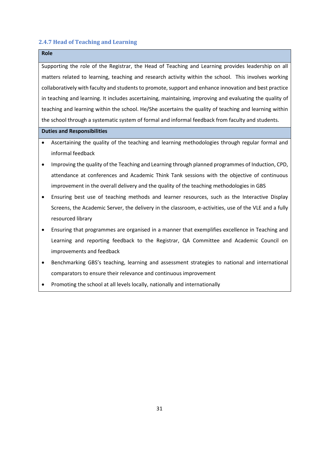#### **2.4.7 Head of Teaching and Learning**

### **Role**

Supporting the role of the Registrar, the Head of Teaching and Learning provides leadership on all matters related to learning, teaching and research activity within the school. This involves working collaboratively with faculty and students to promote, support and enhance innovation and best practice in teaching and learning. It includes ascertaining, maintaining, improving and evaluating the quality of teaching and learning within the school. He/She ascertains the quality of teaching and learning within the school through a systematic system of formal and informal feedback from faculty and students.

- Ascertaining the quality of the teaching and learning methodologies through regular formal and informal feedback
- Improving the quality of the Teaching and Learning through planned programmes of Induction, CPD, attendance at conferences and Academic Think Tank sessions with the objective of continuous improvement in the overall delivery and the quality of the teaching methodologies in GBS
- Ensuring best use of teaching methods and learner resources, such as the Interactive Display Screens, the Academic Server, the delivery in the classroom, e-activities, use of the VLE and a fully resourced library
- Ensuring that programmes are organised in a manner that exemplifies excellence in Teaching and Learning and reporting feedback to the Registrar, QA Committee and Academic Council on improvements and feedback
- Benchmarking GBS's teaching, learning and assessment strategies to national and international comparators to ensure their relevance and continuous improvement
- Promoting the school at all levels locally, nationally and internationally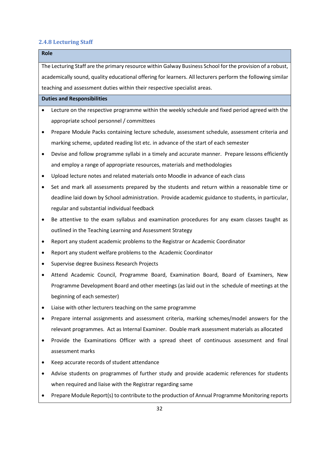#### **2.4.8 Lecturing Staff**

# **Role** The Lecturing Staff are the primary resource within Galway Business School forthe provision of a robust, academically sound, quality educational offering for learners. All lecturers perform the following similar teaching and assessment duties within their respective specialist areas. **Duties and Responsibilities** • Lecture on the respective programme within the weekly schedule and fixed period agreed with the appropriate school personnel / committees • Prepare Module Packs containing lecture schedule, assessment schedule, assessment criteria and marking scheme, updated reading list etc. in advance of the start of each semester

- Devise and follow programme syllabi in a timely and accurate manner. Prepare lessons efficiently and employ a range of appropriate resources, materials and methodologies
- Upload lecture notes and related materials onto Moodle in advance of each class
- Set and mark all assessments prepared by the students and return within a reasonable time or deadline laid down by School administration. Provide academic guidance to students, in particular, regular and substantial individual feedback
- Be attentive to the exam syllabus and examination procedures for any exam classes taught as outlined in the Teaching Learning and Assessment Strategy
- Report any student academic problems to the Registrar or Academic Coordinator
- Report any student welfare problems to the Academic Coordinator
- Supervise degree Business Research Projects
- Attend Academic Council, Programme Board, Examination Board, Board of Examiners, New Programme Development Board and other meetings (as laid out in the schedule of meetings at the beginning of each semester)
- Liaise with other lecturers teaching on the same programme
- Prepare internal assignments and assessment criteria, marking schemes/model answers for the relevant programmes. Act as Internal Examiner. Double mark assessment materials as allocated
- Provide the Examinations Officer with a spread sheet of continuous assessment and final assessment marks
- Keep accurate records of student attendance
- Advise students on programmes of further study and provide academic references for students when required and liaise with the Registrar regarding same
- Prepare Module Report(s) to contribute to the production of Annual Programme Monitoring reports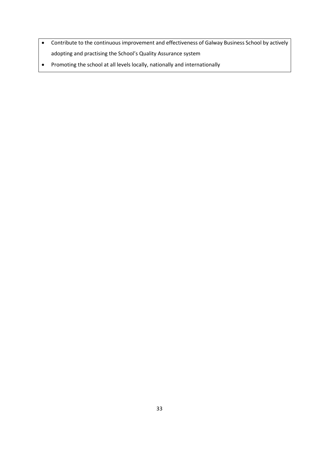- Contribute to the continuous improvement and effectiveness of Galway Business School by actively adopting and practising the School's Quality Assurance system
- Promoting the school at all levels locally, nationally and internationally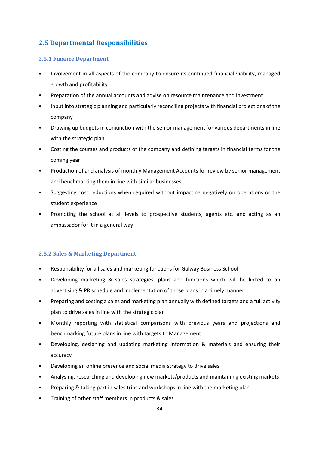# **2.5 Departmental Responsibilities**

### **2.5.1 Finance Department**

- Involvement in all aspects of the company to ensure its continued financial viability, managed growth and profitability
- Preparation of the annual accounts and advise on resource maintenance and investment
- Input into strategic planning and particularly reconciling projects with financial projections of the company
- Drawing up budgets in conjunction with the senior management for various departments in line with the strategic plan
- Costing the courses and products of the company and defining targets in financial terms for the coming year
- Production of and analysis of monthly Management Accounts for review by senior management and benchmarking them in line with similar businesses
- Suggesting cost reductions when required without impacting negatively on operations or the student experience
- Promoting the school at all levels to prospective students, agents etc. and acting as an ambassador for it in a general way

### **2.5.2 Sales & Marketing Department**

- Responsibility for all sales and marketing functions for Galway Business School
- Developing marketing & sales strategies, plans and functions which will be linked to an advertising & PR schedule and implementation of those plans in a timely manner
- Preparing and costing a sales and marketing plan annually with defined targets and a full activity plan to drive sales in line with the strategic plan
- Monthly reporting with statistical comparisons with previous years and projections and benchmarking future plans in line with targets to Management
- Developing, designing and updating marketing information & materials and ensuring their accuracy
- Developing an online presence and social media strategy to drive sales
- Analysing, researching and developing new markets/products and maintaining existing markets
- Preparing & taking part in sales trips and workshops in line with the marketing plan
- Training of other staff members in products & sales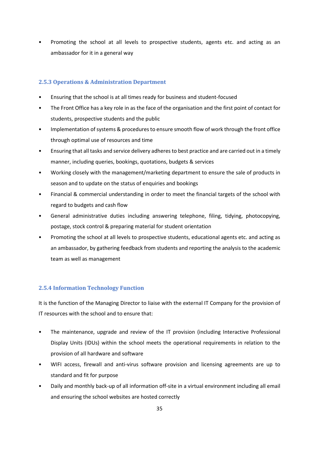• Promoting the school at all levels to prospective students, agents etc. and acting as an ambassador for it in a general way

### **2.5.3 Operations & Administration Department**

- Ensuring that the school is at all times ready for business and student-focused
- The Front Office has a key role in as the face of the organisation and the first point of contact for students, prospective students and the public
- Implementation of systems & procedures to ensure smooth flow of work through the front office through optimal use of resources and time
- Ensuring that all tasks and service delivery adheres to best practice and are carried out in a timely manner, including queries, bookings, quotations, budgets & services
- Working closely with the management/marketing department to ensure the sale of products in season and to update on the status of enquiries and bookings
- Financial & commercial understanding in order to meet the financial targets of the school with regard to budgets and cash flow
- General administrative duties including answering telephone, filing, tidying, photocopying, postage, stock control & preparing material for student orientation
- Promoting the school at all levels to prospective students, educational agents etc. and acting as an ambassador, by gathering feedback from students and reporting the analysis to the academic team as well as management

# **2.5.4 Information Technology Function**

It is the function of the Managing Director to liaise with the external IT Company for the provision of IT resources with the school and to ensure that:

- The maintenance, upgrade and review of the IT provision (including Interactive Professional Display Units (IDUs) within the school meets the operational requirements in relation to the provision of all hardware and software
- WIFI access, firewall and anti-virus software provision and licensing agreements are up to standard and fit for purpose
- Daily and monthly back-up of all information off-site in a virtual environment including all email and ensuring the school websites are hosted correctly